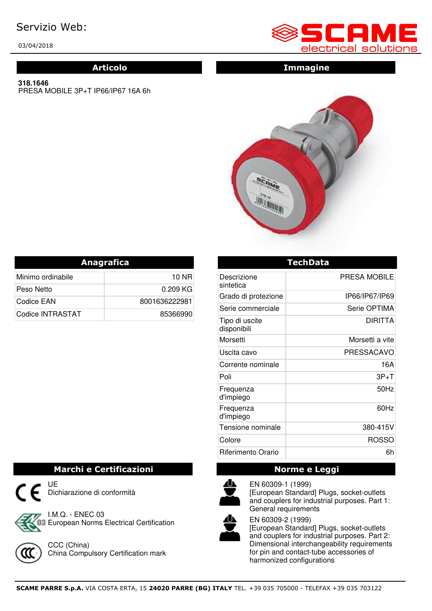# Servizio Web:

03/04/2018

#### **318.1646**

PRESA MOBILE 3P+T IP66/IP67 16A 6h



### **Articolo Immagine**



| <b>Anagrafica</b> |               |  |
|-------------------|---------------|--|
| Minimo ordinabile | 10 NR         |  |
| Peso Netto        | $0.209$ KG    |  |
| Codice EAN        | 8001636222981 |  |
| Codice INTRASTAT  | 85366990      |  |

|                               | <b>TechData</b> |
|-------------------------------|-----------------|
| Descrizione<br>sintetica      | PRESA MOBILE    |
| Grado di protezione           | IP66/IP67/IP69  |
| Serie commerciale             | Serie OPTIMA    |
| Tipo di uscite<br>disponibili | <b>DIRITTA</b>  |
| Morsetti                      | Morsetti a vite |
| Uscita cavo                   | PRESSACAVO      |
| Corrente nominale             | 16A             |
| Poli                          | $3P+T$          |
| Frequenza<br>d'impiego        | 50Hz            |
| Frequenza<br>d'impiego        | 60Hz            |
| Tensione nominale             | 380-415V        |
| Colore                        | <b>ROSSO</b>    |
| Riferimento Orario            | 6h              |

## **Marchi e Certificazioni Norme e Leggi**



EN 60309-1 (1999) [European Standard] Plugs, socket-outlets and couplers for industrial purposes. Part 1: General requirements



EN 60309-2 (1999) [European Standard] Plugs, socket-outlets and couplers for industrial purposes. Part 2: Dimensional interchangeability requirements for pin and contact-tube accessories of harmonized configurations



03 European Norms Electrical Certification

China Compulsory Certification mark

Dichiarazione di conformità

I.M.Q. - ENEC 03

CCC (China)

UE